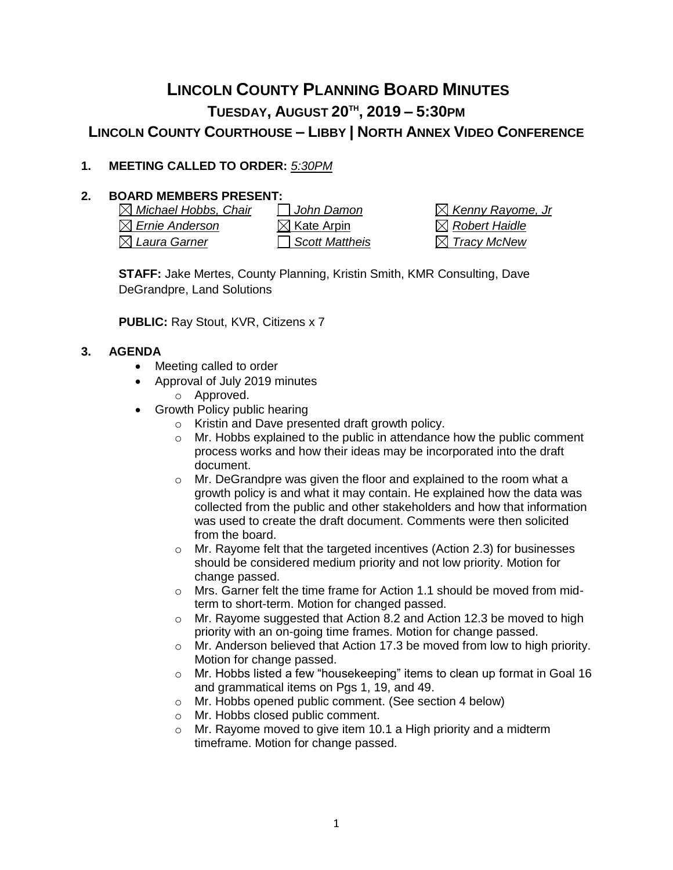# **LINCOLN COUNTY PLANNING BOARD MINUTES TUESDAY, AUGUST 20TH , 2019 – 5:30PM LINCOLN COUNTY COURTHOUSE – LIBBY | NORTH ANNEX VIDEO CONFERENCE**

## **1. MEETING CALLED TO ORDER:** *5:30PM*

## **2. BOARD MEMBERS PRESENT:**

*Michael Hobbs, Chair John Damon Kenny Rayome, Jr*  $\boxtimes$  *Ernie Anderson*  $\boxtimes$  Kate Arpin  $\boxtimes$  *Robert Haidle Laura Garner Scott Mattheis Tracy McNew*

**STAFF:** Jake Mertes, County Planning, Kristin Smith, KMR Consulting, Dave DeGrandpre, Land Solutions

**PUBLIC:** Ray Stout, KVR, Citizens x 7

#### **3. AGENDA**

- Meeting called to order
- Approval of July 2019 minutes o Approved.
- Growth Policy public hearing
	- o Kristin and Dave presented draft growth policy.
	- $\circ$  Mr. Hobbs explained to the public in attendance how the public comment process works and how their ideas may be incorporated into the draft document.
	- o Mr. DeGrandpre was given the floor and explained to the room what a growth policy is and what it may contain. He explained how the data was collected from the public and other stakeholders and how that information was used to create the draft document. Comments were then solicited from the board.
	- o Mr. Rayome felt that the targeted incentives (Action 2.3) for businesses should be considered medium priority and not low priority. Motion for change passed.
	- o Mrs. Garner felt the time frame for Action 1.1 should be moved from midterm to short-term. Motion for changed passed.
	- o Mr. Rayome suggested that Action 8.2 and Action 12.3 be moved to high priority with an on-going time frames. Motion for change passed.
	- $\circ$  Mr. Anderson believed that Action 17.3 be moved from low to high priority. Motion for change passed.
	- o Mr. Hobbs listed a few "housekeeping" items to clean up format in Goal 16 and grammatical items on Pgs 1, 19, and 49.
	- o Mr. Hobbs opened public comment. (See section 4 below)
	- o Mr. Hobbs closed public comment.
	- o Mr. Rayome moved to give item 10.1 a High priority and a midterm timeframe. Motion for change passed.